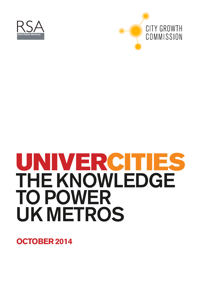



# UNIVERCITIES THE KNOWLEDGE TO POWER UK METROS

**OCTOBER 2014**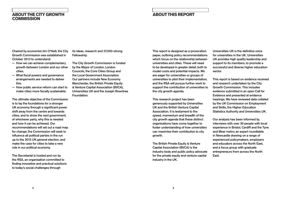Chaired by economist Jim O'Neill, the City Growth Commission was established in October 2013 to understand:

- How we can achieve complementary growth between London and our other cities.
- What fiscal powers and governance arrangements are needed to deliver this.
- How public service reform can start to make cities more fiscally sustainable.

The ultimate objective of the Commission is to lay the foundations for a stronger UK economy through a significant power shift away from the centre and towards cities, and to show the next government, of whichever party, why this is needed and how it can be achieved. Our recommendations will set out a road map for change; the Commission will seek to influence all political parties in the run up to the 2015 UK general election, and make the case for cities to take a new role in our political economy.

The Secretariat is hosted and run by the RSA, an organisation committed to finding innovative and practical solutions to today's social challenges through

its ideas, research and 27,000-strong Fellowship.

> The British Private Equity & Venture Capital Association (BVCA) is the industry body and public policy advocate for the private equity and venture capital industry in the UK.

The City Growth Commission is funded by the Mayor of London, London Councils, the Core Cities Group and the Local Government Association. Our partners include New Economy Manchester, the British Private Equity & Venture Capital Association (BVCA), Universities UK and the Joseph Rowntree Foundation.

This report is designed as a provocation paper, outlining policy recommendations which focus on the relationship between universities and cities. These will need to be developed in greater detail, both to model costs and potential impacts. We are eager for universities or groups of universities to pilot their implementation, and the RSA will pursue further work to support the contribution of universities to the city growth agenda.

This research project has been generously supported by Universities UK and the British Venture Capital Association. It is testament to the speed, momentum and breadth of the city growth agenda that these distinct organisations have come together to foster understanding of how universities can maximise their contribution to city growth.

Universities UK is the definitive voice for universities in the UK. Universities UK provides high quality leadership and support to its members, to promote a successful and diverse higher education sector.

This report is based on evidence received and research undertaken by the City Growth Commission. This includes evidence submitted in an open Call for Evidence and presented at evidence hearings. We have reviewed data collated by the UK Commission on Employment and Skills, the Higher Education Statistics Authority and Universities UK.

Our analysis has been informed by interviews with over 30 people with local experience in Bristol, Cardiff and the Tyne and Wear metro; an expert roundtable in Newcastle drawing on a range of experienced policymakers, employers and educators across the North East, and a focus group with graduate entrepreneurs from across the North East.

### **ABOUT THIS REPORT**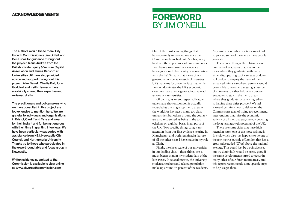One of the most striking things that has repeatedly influenced me since the Commission launched last October, 2013 has been the importance of our universities. Even before we started our evidence hearings around the country, a conversation with the BVCA team that is one of our generous sponsors (alongside Universities UK) made me focus on the fact that while London dominates the UK's economic clout, we have a wide geographical spread among our universities.

Of course, as recent respected league tables have shown, London is actually regarded as the single top metro area in the world for having so many top class universities, but others around the country are also recognised as being in the top echelons on a global basis, in all parts of the UK. Two specific things caught my attention from our first evidence hearing in Manchester, and both remained a feature of all the other visits I have made in my role as Chair.

Firstly, the sheer scale of our universities in our leading cities – these things are so much bigger than in my student days of the late 1970s. In several metros, the university students, teachers and related population make up around 10 percent of the residents.

Any visit to a number of cities cannot fail to pick up some of the energy these people generate.

The second thing is the relatively low numbers of graduates that stay in the cities where they graduate, with many either disappearing back overseas or down to London to employ the fruits of their enhanced minds elsewhere. Surely it would be sensible to consider pursuing a number of initiatives to either help or encourage graduates to stay in the metro areas where they graduate, as a key ingredient to helping these cities prosper? We feel it would certainly help to deliver on the Commission's goal of trying to recommend interventions that raise the economic activity of all metro areas, thereby boosting the long term growth potential of the UK.

There are some cities that have high retention rates, one of the most striking is Bristol, which also just happens to be one of the few metros outside of London that has a gross value added (GVA) above the national average. This could just be a coincidence, but we doubt it. It would be pretty good if the same development started to occur in many other of our finest metro areas, and this report recommends some specific steps to help us get there.

# **FOREWORD** BY JIM O'NEILL

The authors would like to thank City Growth Commissioners Jim O'Neill and Ben Lucas for guidance throughout the project. Marie Audren from the British Private Equity & Venture Capital Association and James Ransom at Universities UK have also provided advice and support throughout this project. Alan Barrell, Charlie Ball, John Goddard and Keith Hermann have also kindly shared their expertise and reviewed drafts.

The practitioners and policymakers who we have consulted in this project are too extensive to mention here. We are grateful to individuals and organisations in Bristol, Cardiff and Tyne and Wear for their insight and for being generous with their time in granting interviews. We have been particularly supported with assistance from NE1, Newcastle City Council, and Northumbria University. Thanks go to those who participated in the expert roundtable and focus group in Newcastle.

Written evidence submitted to the Commission is available to view online at: www.citygrowthcommission.com

### **ACKNOWLEDGEMENTS**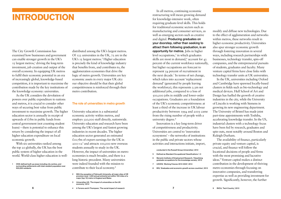The City Growth Commission has examined how businesses and government can enable stronger growth in the UK's 15 largest metros,<sup>1</sup> driving the long-term investment, job creation and output of the overall economy. In equipping UK metros to fulfil their economic potential in an era of increasingly global, knowledge-based competition, it is important to maximise the contribution made by the key institutions of the knowledge economy: universities.

As the UK considers the devolution of powers over public expenditure to nations and metros, it is crucial to consider other ways of securing best value from public investment to maximise growth. The higher education sector is annually in receipt of upwards of  $\mathcal{L}_7$ bn in public funds from central government (not counting student loans) – there is potential to enhance this return by considering the impact of all higher education expenditure on local economic growth.

With six universities ranked among the top 20 globally, the UK has the best public system of higher education in the world. World-class higher education is well-

In all metros, continuing economic restructuring will mean growing demand for knowledge-intensive work, often requiring graduate-level skills. This holds for traditional economic sectors such as manufacturing and consumer services, as well as emerging sectors such as creative and digital. Producing graduates on your doorstep, rather than seeking to attract them following graduation, is an opportunity for metros*.* Jobs in higher level occupations, $<sup>5</sup>$  in which graduates</sup> skills are most in demand,<sup>6</sup> account for 43 percent of the current workforce nationally, but higher occupations are forecast to represent 54 percent of recruitment in the next decade.<sup>7</sup> In terms of net change, which takes into account 'replacement demand' (generated by people leaving the workforce), this represents 2.3m net additional jobs, compared to a loss of 500,000 jobs in middle and lower-order occupations. Graduates are a foundation of the UK's economic competitiveness: at least a third of the increase in UK labour productivity between 1994 and 2005 came from the rising number of people with a university degree.<sup>8</sup>

distributed among the UK's largest metros. Of 123 universities in the UK, 72 are in the UK's 15 largest metros.<sup>2</sup> Higher education is precisely the kind of knowledge industry that benefits from, and contributes to, the agglomeration economies that drive the logic of metro growth. Universities are key economic assets in every major UK city: our objective should be that their global competitiveness is reinforced through their metro contribution.

#### The role of universities in metro growth

University education is a substantial economic activity within metros, and employs 320,000 staff directly, nationwide. University education and research have been among the UK's largest and fastest growing industries in recent decades. The higher education sector generated an estimated £10.7bn of export earnings for the UK in  $201I - I2<sup>3</sup>$  and attracts 100,000 new overseas students annually to study in the UK. However, the impact of universities on metro economies is much broader, and there is a long historic precedent. Many universities were indeed founded with the mission to contribute to their local economy.4

- 3 [Universities UK, 'The impact of universities on the UK](http://www.universitiesuk.ac.uk/highereducation/Pages/ImpactOfUniversities.aspx)  [economy', 2014](http://www.universitiesuk.ac.uk/highereducation/Pages/ImpactOfUniversities.aspx)
- 6 7 4 [A Torrens and A Thompson, 'The social impact of research](http://russellgroup.org/socialimpactofresearch.pdf)

Innovation is a key long-term driver of competitiveness and productivity. Universities are central to 'innovation ecosystems' – the networks of institutions in the public and private sectors whose activities and interactions initiate, import,

#### [conducted in the Russell Group Universities', 2012](http://russellgroup.org/socialimpactofresearch.pdf)

- 5 Defined as Standard Occupational Classifications 1-3
- 6 [Warwick Institute of Employment Research, 'Classifying](http://www2.warwick.ac.uk/fac/soc/ier/futuretrack/findings/elias_purcell_soche_final.pdf)  [graduate occupations for the knowledge society', 2013](http://www2.warwick.ac.uk/fac/soc/ier/futuretrack/findings/elias_purcell_soche_final.pdf)
- 7 [UKCES, 'Working Futures 2012-2022', 2014](https://www.gov.uk/government/uploads/system/uploads/attachment_data/file/298510/working-futures-2012-2022-main-report.pdf)
- 8 [BIS, 'Graduates and economic growth across countries', 2013](https://www.gov.uk/government/publications/graduates-and-economic-growth-across-countries)

modify and diffuse new technologies. Due to the effect of agglomeration and networks within metros, these networks result in higher economic productivity. Universities also spur stronger economic growth through fostering innovation in several ways, including research partnerships with businesses, technology transfer, spin-off companies, and the entrepreneurial pursuits of students, graduates and faculty. Many venture capital firms have close links with technology transfer units at UK universities.

In the UK, universities including Oxford and Cambridge have spawned locally-based clusters in fields such as bio-technology and medical devices. Hull School of Art and Design has fuelled the growth of creative industries in the city, while the University of Lincoln is working with Siemens in growing its new engineering department. The University of Bristol has made joint part-time appointments with Toshiba, accelerating knowledge transfer. In the US, industrial clusters with a technology focus have been fed by research, graduates and spin-outs, most notably around Boston and Raleigh-Durham.

The availability of finance, particularly private equity and venture capital, is crucial, and finance will follow the locational decisions of people and firms with the most promising and lucrative ideas.9 Venture capital makes a distinct contribution in the development of thriving metro economies through focusing on innovative companies, and transferring expertise as well as providing investment for growth. Significantly, however, the further

# **INTRODUCTION**

ONS-defined built-up areas including city centres, and surrounding settlements with total resident population over 500,000 residents

<sup>2</sup> With the exception of Falmouth University, all major sites of HE provision (over 1,000 annual entrants) are within 100 miles of a major (top 15) metro in England and Wales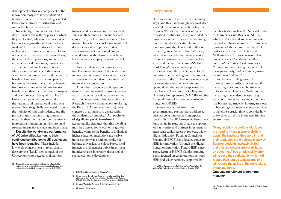development of this key component of the innovation ecosystem is dependent on a number of other drivers including a skilled labour force, strong infrastructure and supportive business networks.

Importantly, universities often have deep historic links with the places in which they are located, whereas other resources for economic growth – such as residents, workers, firms and investors – are more mobile; no UK university has ever relocated out of a metro. Because of this rootedness, the scale of their operations, and related impacts on local economies, universities are often termed 'anchor institutions'. Metros can be confident of the long-term commitment of universities, and the mutual benefits of success. In attracting people, businesses and investment, metros benefit from strong universities and universities benefit when their metro economy prospers and offers an attractive quality of life.10 Universities are often fundamental to the national and international brand of a metro. They are globally connected through the mobility of staff and students, and the pursuit of transnational programmes of research; their international competitiveness represents a foundation on which to build stronger international trade and investment.

Despite the world-class performance of UK universities, barriers to their continued contribution to UK businesses have been identified. These include low levels of investment in research and development (R&D) across much of the UK economy; poor access to (long-term)

10 Three of the top four factors which were influential in determining where multinational companies located their enterprises related to the university sector (BIS 2009)

finance; and below-average management skills in UK businesses.<sup>11</sup> While globally competitive, the UK university system has unique characteristics, including significant domestic mobility to pursue studies, and a strong tradition of single subject specialisation with relatively weak links between area of employment and field of study.12

Together, these characteristics mean that UK universities need to be understood in policy terms as institutions with unique attributes when considered alongside their international competitors.

As in other aspects of public spending, there has been increased pressure in recent years to account for value-for-money and return on investment.13 Initiatives like the Research Excellence Framework (replacing the Research Assessment Exercise) are a contested area, subject to debate within the academic community.<sup>14</sup> As recipients of significant public investment, accountability demands that this spending must be assessed for its economic growth benefits. Many of the benefits of individual higher education institutions are visible in the economy at a national scale, but because universities are place-based, local impacts are felt acutely; public investment in universities is inherently also a tool of spatial economic development.

- 12 50 percent of the UK workforce is in employment in a field different to that which they studied – the highest in Europe [\(OECD, 'Right for the Job: over-qualified or under-skilled', 2011\)](http://www.oecd.org/els/48650012.pdf)
- 13 [S Head, 'The Grim Threat to British Universities', 2011](http://www.nybooks.com/articles/archives/2011/jan/13/grim-threat-british-universities/?page=2)

Policy Context

Universities contribute to growth in many ways, and this is increasingly acknowledged across different areas of public policy. Sir Andrew Witty's recent review of higher education institutions (HEIs) concluded that universities in the UK should be assuming more responsibility for stimulating economic growth. He referred to this as embracing an 'enhanced Third Mission', which could include winning international markets to partners with innovating local small and medium enterprises (SMEs).<sup>15</sup> Lord Young's review on enterprise education raised the expectations placed on universities regarding how they support entrepreneurialism. There is growing energy for enterprise education on campuses up and down the country, supported by the National Association of College and University Entrepreneurs (NACUE) and the National Centre for Entrepreneurship in Education (NCEE).

Several recent initiatives from government and partners have addressed business collaboration, and enterprise, specifically. The UK Partnership Investment Fund set up in 2012 has sought to support joint university and business investment in large-scale capital research projects, while Higher Education Funding Council for England (HEFCE) has allocated funds to HEIs for innovation (through the Higher Education Innovation Fund (HEIF) since 2001. £45m of HEFCE Catalyst funding is also focused on collaborations between HEIs and wider partners, supported by

15 [A Witty, 'Encouraging a British Invention Revolution: Sir](https://www.gov.uk/government/uploads/system/uploads/attachment_data/file/249720/bis-13-1241-encouraging-a-british-invention-revolution-andrew-witty-review-R1.pdf)  [Andrew Witty's Review of Universities and Growth', 2013](https://www.gov.uk/government/uploads/system/uploads/attachment_data/file/249720/bis-13-1241-encouraging-a-british-invention-revolution-andrew-witty-review-R1.pdf)

member bodies such as the National Centre for Universities and Business (NCUB), which works to build and communicate the evidence base on productive universitybusiness collaborations. Recently, think tanks such as Centre for Cites, and McKinsey & Co. have concurred that '*universities need to strengthen their contribution to their local businesses through commercialising their research more proactively, and need to be further incentivised to do so*.'16

As the new funding system for university study settles, universities will increasingly be compelled by students to focus on employability. With funding increasingly dependent on attracting students, universities have to be run more like businesses. Students, in turn, are closer to becoming customers of education. Now is therefore a crucial time to consider how universities can thrive in the new funding environment.

"Many redbrick institutions didn't see the need to invest in employability  $-$  it wasn't the business they were in, and their graduates are employable anyway. But now students increasingly feel that they are getting employability as an outcome. A bad employability offer will reduce their satisfaction which will reduce their league table scores and will reduce the ability of the university to attract students."

Graduate recruitment programme manager

<sup>11</sup> [BIS, 'Smart Specialisation in England', 2014](https://www.gov.uk/government/uploads/system/uploads/attachment_data/file/341695/bis_14_994_smart_specialisation_in_england_2.pdf)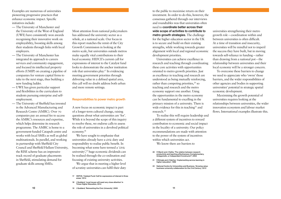Examples are numerous of universities pioneering progressive practices that enhance economic impact. Specific initiatives include:

- The University of Manchester and the University of the West of England (UWE) have consistently won awards recognising their innovative work on employability, boosting skills among their students through links with local employers.
- The University of Manchester has integrated its approach to careers services and community engagement, and focused its intellectual property efforts (UMIP) on creating a pipeline of companies for venture capital firms to take to the next stage, thus building a new funding ladder.
- UWE has given particular support and flexibilities in the curriculum to students pursuing enterprise and selfemployment.
- The University of Sheffield has invested in the Advanced Manufacturing and Research Centre (AMRC). Over 70 companies pay an annual fee to access the AMRC's resources and expertise, which helps determine its research programme. The AMRC is home to a government-funded Catapult centre and works with local SMEs as well as global multinationals. In parallel, and working in partnership with Sheffield City Council and Sheffield Hallam University, the RISE scheme has an impressive track record of graduate placements in Sheffield, stimulating demand for graduate skills among SMEs.

Most attention from national policymakers has addressed the university sector as a whole, at a national scale. Our focus in this report matches the remit of the City Growth Commission in looking at the metro scale, but universities outside metros make equally vital contributions to their local economy. HEFCE's current call for expressions of interest to the Catalyst fund looks to demonstrate the anchor institution role that universities play.17 In evidencing meeting government priorities through delivering value in a defined spatial area, this call will no doubt address both urban and more remote settings.

#### Responsibilities to power metro growth

A new focus on economic impact is part of a longer-term cultural change, raising questions about what universities are 'for'. While it is beyond the scope of this inquiry to resolve these, we endorse calls to assess the role of universities in a devolved political economy.18

- 21 R Bringle and J Hatcher, 'Implementing service learning in [higher education', 1996](http://fyc.niu.edu/engagedlearning/service/docs/bringle_hatcher1996.pdf)
- 22 [National Centre for Universities and Business, 'Growing value:](http://www.ncub.co.uk/reports/growing-value-business-university-collaboration-for-the-21st-century-2.html)  [business-university collaboration for the 21st Century', 2012](http://www.ncub.co.uk/reports/growing-value-business-university-collaboration-for-the-21st-century-2.html)

We have sought to emphasise that universities already have a civic duty and responsibility to realise public benefit. In becoming what some have termed a 'civic university',19 huge economic dividends can be realised through the co-ordination and focusing of existing university activities.

We argue that in meeting a higher level of scrutiny universities can fulfil their duty

to the public to maximise return on their investment. In order to do this, however, the consensus gathered through our interviews and roundtables was that universities often need to coordinate better across their wide scope of activities to contribute to metro growth strategies. The challenge for the higher education sector in the UK is to secure and build on their existing strengths, while working towards greater alignment with local and regional economic development priorities.

Universities can achieve excellence in research and teaching through coordinating these core activities with opportunities oriented to metro growth priorities. Just as excellence in teaching and research are understood as being mutually reinforcing, rather than competing priorities,  $20$  so teaching and research and the metro economy support one another. Using the opportunities in the metro economy can be fundamental to excelling in the primary mission of a university. There is wide evidence for this in teaching<sup>21</sup> and research.22

To realise this will require leadership and a different system of incentives to reward contribution to economic and social impact in the locality of a university. Our policy recommendations are made with attention to the power of the system of incentives within which universities act.

We know there are barriers to

universities strengthening their metro growth role – coordination within and between universities is often difficult. At a time of transition and insecurity, universities will be mindful not to imperil the success they have built, but in moving towards self-reliance in funding – rather than drawing from a national pot – the relationship between universities and their local economy will be a stronger concern.

To overcome these barriers to change we need to appreciate who 'owns' those barriers, and the wider responsibilities of other agencies and bodies in supporting universities' potential in strategic spatial economic development.

Maximising the growth potential of universities requires looking at the relationships between universities, the wider innovation ecosystem and labour market flows. International examples illustrate this.

<sup>17</sup> [HEFCE, 'Catalyst Fund: Call for expressions of interest in three](http://www.hefce.ac.uk/media/hefce/content/pubs/2014/201421/HEFCE2014_21.pdf)  [areas,' 2014](http://www.hefce.ac.uk/media/hefce/content/pubs/2014/201421/HEFCE2014_21.pdf)

<sup>18</sup> [J Goddard, 'Local issues will need very close attention' in](http://www.timeshighereducation.co.uk/comment/letters/local-issues-will-need-very-close-attention/2016071.article)  [Times Higher Education, 2014](http://www.timeshighereducation.co.uk/comment/letters/local-issues-will-need-very-close-attention/2016071.article)

<sup>20</sup> [H Marsh and J Hattie, 'The relation between research](http://muse.jhu.edu/login?auth=0&type=summary&url=/journals/journal_of_higher_education/v073/73.5marsh.pdf)  [productivity and teaching effectiveness: Complementary,](http://muse.jhu.edu/login?auth=0&type=summary&url=/journals/journal_of_higher_education/v073/73.5marsh.pdf)  [Antagonistic, or Independent Constructs?', 2002](http://muse.jhu.edu/login?auth=0&type=summary&url=/journals/journal_of_higher_education/v073/73.5marsh.pdf)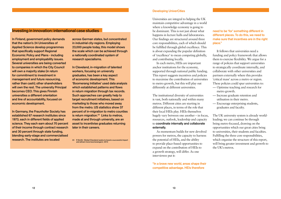#### Developing UniverCities

Universities are integral to helping the UK maintain competitive advantage in a world where a knowledge economy is going to be dominant. This is not just about what happens in lecture halls and laboratories. Our findings are structured around three core responsibilities, each of which should be fulfilled through global excellence. This is about expanding the popular definition of 'excellence' to mean competing globally, and contributing locally.

In each metro, HEIs are important anchor institutions for the economy, supported through national public funding. This report suggests incentives and policies to maximise the contribution of universities to metro growth, but this will play out differently at different universities.

The institutional diversity of universities is vast, both nationally and within many metros. Different cities are starting in different places, in terms of the role that their local HEIs play. HEIs themselves hugely vary between one another – in focus, resources, outlook, leadership and capacity to coordinate internally and collaborate externally.

As momentum builds for new devolved powers for metros, the capacity to harness the potential of HEIs, and the ability to provide place-based opportunities to expand on the contribution of HEIs to a growth strategy, will differ. As one interviewee put it:

"In a brave new world, areas shape their competitive advantage. HEIs therefore

need to be 'for' something different in different places. To do this, we need to make sure that incentives are in the right place."

It follows that universities need a funding and policy framework that allows them to exercise flexibility. We argue for a range of policies that support universities to strategically coordinate internally, and collaborate with other universities and partners externally where this provides 'critical mass' across a metro or region. These policies could spur universities to:

- Optimise teaching and research for metro growth.
- Increase graduate retention and utilisation in their metro.
- Encourage enterprising students, graduates and faculty.

The UK university system is already worldleading; we can continue be through being metro-focused, drawing on the opportunities which our great cities bring to universities, their students and faculties. Fulfilling the three core responsibilities, which organise the structure of this report, will bring greater investment and growth to the UK's metros.

### Investing in innovation: international case studies

In Finland, government policy demands that the nation's 24 Universities of Applied Science develop programmes that specifically support Regional Economic Policy and Plans - including employment and employability issues. Several universities are being converted to companies in which the City Council will own a majority stake (in return for commitment to investment in management and future resourcing, rather than cash); other shareholders will own the rest. The university Principal becomes CEO. This gives Finnish universities a different orientation and line of accountability, focused on economic development.

In Germany, the Fraunhofer Society has established 67 research institutes since 1973, each in different fields of applied science. They each earn about 70 percent of their income through contract research and 30 percent through state funding, blending early-stage and commercialised research. The institutes are located

across German states, but concentrated in industrial city-regions. Employing 23,000 people today, this model shows the scale which can be achieved through a nationally coordinated system of research specialisms.

In Cleveland, in-migration of talented workers, focusing on university graduates, has been a key aspect of economic development. This 'Boomerang Initiative' used data analysis which established patterns and flows in return migration through tax records. Such approaches can greatly help to target recruitment initiatives, based on marketing to those who moved away from the metro. US statistics show 37 percent of in-migration to metro counties is return migration.<sup>23</sup> Links to metros, made at and through university, are an asset to incentivise graduates returning later in their careers.

23 [R Smith, 'Global Cleveland seeks to boost a successful import](http://www.cleveland.com/business/index.ssf/2012/02/beckoning_boomerangers_global.html)  [and attract more boomerangers', 2012](http://www.cleveland.com/business/index.ssf/2012/02/beckoning_boomerangers_global.html)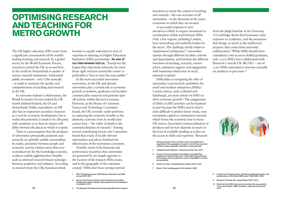The UK higher education (HE) sector hosts a significant concentration of the world's leading teaching and research. In a global survey by the World Economic Forum, executives ranked the UK as second best in the world (to Switzerland) in quality of science research institutions. Substantial public investment – over  $\pounds$ 7bn annually – is made to maintain the quality and competitiveness of teaching and research in the UK.

In university-industry collaboration, the World Economic Forum ranked the UK fourth (behind Finland, the US and Switzerland). Public expenditure on HE also has an important secondary function as a tool for economic development, but to realise this potential, it needs to be allocated with sensitivity as to how its impact will differ between the places in which it is spent.

There is a presumption that the products of universities (principally graduates and research) are globally mobile commodities. In reality, proximity between people and economic activity matters more than ever in productivity for the knowledge economy, as places exploit agglomeration benefits such as informal research-based exchanges between academics and industry. According to research from the CBI, businesses think

14 15 3 The Research Excellence Framework stipulates that "impacts

location is equally important to area of expertise in selecting an Higher Education Institution (HEI) partnership.<sup>1</sup> As one of our interviewees told us, "Except for the largest blue chip multi-nationals, for most firms 'agile and just around the corner' is preferable to 'best in class but inaccessible'."

> Difficulties in navigating the offer of universities is particularly prohibitive for small and medium enterprises (SMEs).<sup>5</sup> Certain metros, such as Bristol and Edinburgh, are more reliant on SMEs to drive economic growth.<sup>6</sup> The engagement of SMEs in HEI activities can be hindered in part because the SMEs tend to find it more difficult to predict future needs, raise investment capital or commission research which forms the economic base in many UK metros. Successful commercialisation of products and services depends as much on the level of available funding as it does on the access to skills and expertise.<sup>7</sup> Research

will be assessed in terms of their 'reach and significance' regardless of the geographic location in which they occurred, whether locally, regionally, nationally or internationally.

In the most successful innovation ecosystems, in the UK and abroad, universities play a central role in economic growth as students, graduates and faculties commercialise research and generate spinoff activity within the local economy. However, as the House of Commons Science and Technology Committee found, the UK currently under-performs in capturing the economic benefits in the domestic economy from its world-class science base – 'the valley of death in the commercialisation of research'.2 Among several contributing factors, the Committee found that a lack of locally relevant information and advice hindered the effectiveness of the innovation ecosystem.

Notably, most of the financial and performance incentives that universities are governed by are largely agnostic to the location of the impacts HEIs create, and to the geography of the outcomes created.3 HEIs don't have strong external incentives to orient the content of teaching and research – the core activities of all universities – to the demands of the metro economies in which they are located.

A successful response to new incentives is likely to require investment in coordination within and between HEIs. Only a few regions, including London, have networking and umbrella bodies for the sector. The challenge clearly relates to 'institutional architecture':<sup>4</sup> universities operate through different faculties, schools and departments, and between the different functions of teaching, research, careers advice, enterprise support and engagement with businesses which may be local, national or global.

- 4 J Goddard and P Vallance, 'University and the City', 2013
- 5 House of Commons Select Committee concluded that engagement opportunities were 'fragmented and confusing'. Place-based services platforms such as OpenSME in London are preferable
- 6 [Centre for Cities, 'Small Business Outlook 2013', 2013](http://www.centreforcities.org/assets/files/2013/13-07-10-small-business-outlook-final.pdf)
- 7 [Nesta, 'From funding gaps to thin markets', 2009](https://www.strath.ac.uk/media/departments/huntercentre/research/researchreports/nesta_report_thin_markets.pdf)

from the Judge Institute at the University of Cambridge shows that businesses value exposure to academics, and the awareness that brings, as much as the intellectual property that comes from university collaboration.8 While SMEs benefit from consultancy and access to skilled graduates, only 1,000 SMEs have collaborated with Research Councils UK  $(RCUK)^9$  – out of 1.2m SMEs estimated to innovate annually on products or processes.10



- 8 A Cosh and A Hughes (eds.), ['Enterprise challenged: policy and](http://www.jbs.cam.ac.uk/faculty-research/fellows-associates-a-z/alan-hughes/further-selected-publications/)  [performance in the British SME sector 1999-2002](http://www.jbs.cam.ac.uk/faculty-research/fellows-associates-a-z/alan-hughes/further-selected-publications/),' 2003
- 9 [Research Councils UK, 'Impact Report 2013', 2013](http://www.rcuk.ac.uk/rcuk-prod/assets/documents/publications/2013impactreport.pdf)
- Data from the 2008 Community Innovation Survey, quoted in [J Love and S Roper, 'SME innovation, exporting and growth',](http://enterpriseresearch.ac.uk/wp-content/uploads/2013/12/erc-white-paper-no_5-innovation-final.pdf)  [2013](http://enterpriseresearch.ac.uk/wp-content/uploads/2013/12/erc-white-paper-no_5-innovation-final.pdf)

### **OPTIMISING RESEARCH AND TEACHING FOR METRO GROWTH**

House of Commons Science and Technology Committee, ['Bridging the valley of death: improving the commercialisation](http://www.publications.parliament.uk/pa/cm201213/cmselect/cmsctech/348/348.pdf)  [of research', 2013](http://www.publications.parliament.uk/pa/cm201213/cmselect/cmsctech/348/348.pdf)

<sup>1</sup> [CBI, 'Changing the pace: CBI/Pearson education and skills](http://www.cbi.org.uk/media/2119176/education_and_skills_survey_2013.pdf)  [survey 2013', 2013](http://www.cbi.org.uk/media/2119176/education_and_skills_survey_2013.pdf)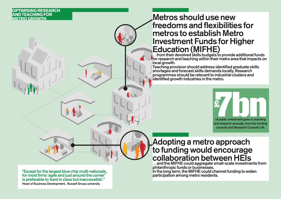

### **OPTIMISING RESEARCH AND TEACHING FOR METRO GROWTH**

### Adopting a metro approach to funding would encourage collaboration between HEIs …and the MIFHE could aggregate small-scale investments from

 $\dots$  from their devolved skills budgets to provide additional funds for research and teaching within their metro area that impacts on local growth.

philanthropic funds or businesses. In the long term, the MIFHE could channel funding to widen participation among metro residents.

## Metros should use new freedoms and flexibilities for metros to establish Metro Investment Funds for Higher Education (MIFHE)

Teaching provision should address identified graduate skills shortages and forecast skills demands locally. Research programmes should be relevant to industrial clusters and identified growth industries in the metro.

"Except for the largest blue chip multi-nationals, for most firms 'agile and just around the corner' is preferable to 'best in class but inaccessible'." Head of Business Development, Russell Group university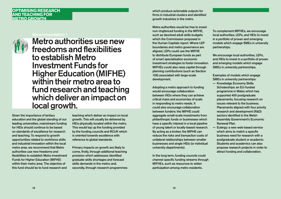#### **OPTIMISING RESEARCH AND TEACHING FOR METRO GROWTH**

Given the importance of tertiary education and the global standing of our leading universities, mainstream funding for HEIs should continue to be based on standards of excellence for research and teaching. To respond to growth opportunities related to workforce skills and industrial innovation within the local metro area, we recommend that Metro authorities use new freedoms and flexibilities to establish Metro Investment Funds for Higher Education (MIFHE) within their metro area. The objective of this fund should be to fund research and

teaching which deliver an impact on local growth. This will usually be delivered by HEIs physically located within the metro. This would top up the funding provided by the funding councils and RCUK which is oriented towards excellence with reference to global standards.

Primary impacts on growth are likely to come, firstly, through additional teaching provision which addresses identified graduate skills shortages and forecast skills demands in the metro; and, secondly, through research programmes

#### Recommendation 1



Metro authorities use new freedoms and flexibilities to establish Metro Investment Funds for Higher Education (MIFHE) within their metro area to fund research and teaching which deliver an impact on local growth.

which produce actionable outputs for firms in industrial clusters and identified growth industries in the metro.

Metro authorities would be free to invest non-ringfenced funding in the MIFHE, such as devolved adult skills budgets which the Commission proposed in the Human Capitals report. Where LEP boundaries and metro governance are aligned, LEPs could use the MIFHE to distribute European funds as part of smart specialisation economic investment strategies to foster innovation. MIFHEs could also raise capital through planning contributions (such as Section 106) associated with large-scale development.

Adopting a metro approach to funding would encourage collaboration between HEIs where they can achieve critical mass and economies of scale in responding to metro needs. It could also encourage collaboration between funders: the MIFHE could aggregate small-scale investments from philanthropic funds or businesses which have a specific interest in a local pipeline of young talent or locally-based research. By acting as a broker, the MIFHE can reduce the risks and transaction costs of unilateral relationships between smaller businesses and single HEIs (or individual university departments).

In the long term, funding councils could channel specific funding streams through MIFHEs, such as resources to widen participation among metro residents.

To complement MIFHEs, we encourage local authorities, LEPs, and HEIs to invest in a portfolio of proven and emerging models which engage SMEs in university partnerships.

We encourage local authorities, LEPs, and HEIs to invest in a portfolio of proven and emerging models which engage SMEs in university partnerships.

Examples of models which engage SMEs in university partnerships:

- Knowledge Economy Skills Scholarships: an EU-funded programme in Wales which has supported 400 postgraduate placements, focusing research on issues relevant to the business. Placements aligned with four priority research and development (R&D) sectors identified in the Welsh Assembly Government's Economic Renewal Plan.
- Eulergy: a new web-based service which aims to match a specific business need for research with a postgraduate student or academic. Students and academics can also propose research projects in order to attract funding and collaboration.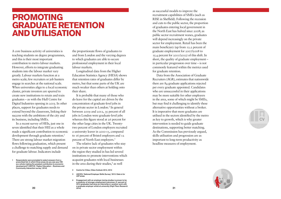A core business activity of universities is teaching students on degree programmes, and this is their most important contribution to metro labour markets. However, efforts to integrate graduating students into the labour market vary greatly. Labour markets function at a metro scale; few recruiters or job hunters engage in searches at the national scale. When universities align to a local economic cluster, private investors are spurred to create new institutions to retain and train graduates – as with the Hull Centre for Digital Industries opening in 2015. In other places, support for graduates needs to extend beyond the classroom, linking their success with the ambitions of the city and its business, including SMEs.

In a recent survey of HEIs, just one in seven identified that their HEI as a whole made a significant contribution to economic development through graduate retention. 1 There are strong labour market migration flows following graduation, which present a challenge to matching supply and demand for graduate labour. Indicators include

the proportionate flows of graduates to and from London and the varying degrees to which graduates are able to secure professional employment in their local labour markets.

Longitudinal data from the Higher Education Statistics Agency (HESA) shows that retention rates of graduates differ by metro, but that some parts of the UK are much weaker than others at holding onto their share.

It is probable that many of those who do leave for the capital are driven by the concentration of graduate-level jobs in the private sector in London. 2 In general between 2009 and 2012, 35 percent of all jobs in London were graduate-level jobs whereas this figure stood at 26 percent for the other large cities in the UK. Twentytwo percent of London employers recruited a university leaver in 2010-13, compared to 16 percent of Bristol employers and 12 percent of North East employers. 3

The relative lack of graduates who stay on in private sector employment within the region they studied in has led several institutions to promote interventions which acquaint graduates with local businesses in the area during their studies, 4 as well

as successful models to improve the recruitment capabilities of SMEs (such as RISE in Sheffield). Following the recession and cuts to the public sector, the proportion of graduates entering local government in the North East has halved since 2008; as public sector recruitment wanes, graduates will depend increasingly on the private sector for employment. Retail has been the main beneficiary (up from 12.2 percent of graduate employment for 2007/2008 to 15.4 percent for 2011/2012) of this shift. In short, the quality of graduate employment – in particular progression over time – is not commonly featured within the metrics used for graduate retention.

Data from the Association of Graduate Recruiters (AGR), estimates that nationwide there are 84 graduate applications rejected per every graduate appointed. Candidates who are unsuccessful in their applications may be more suitable for other employers in the area, some of which might be SMEs, but may find it challenging to identify these alternative opportunities without a broker. It is imperative that more graduates are utilised in the sectors identified by the metro as key to growth, which is why greater intervention is needed to guide graduate destinations, supporting better matching. As the Commission has previously argued, skills utilisation and progression are as important to long-term productivity as headline measures of employment.

### **PROMOTING GRADUATE RETENTION AND UTILISATION**





<sup>1</sup> Respondents were prompted to select answers from a prescribed list: In which three areas do you see your HEI as a whole making the greatest contribution to economic development? [\(HEFCE, 'Higher Education – Business and](http://www.hefce.ac.uk/media/hefce/content/pubs/2014/201410/hefce2014_10.pdf)  [Community Interaction survey', 2014](http://www.hefce.ac.uk/media/hefce/content/pubs/2014/201410/hefce2014_10.pdf))

 $20$  2014) 2014 Engagement with an employer during studies is proven to be a predictor of stronger employment outcomes; 41 percent of 2014 graduates had done an internship or vacation work with a graduate employer whilst at university [\(High Fliers Research](http://www.highfliers.co.uk/download/ukgcsrelease2014.pdf)  [2014](http://www.highfliers.co.uk/download/ukgcsrelease2014.pdf))

<sup>2</sup> [Centre for Cities, Cities Outlook 2014, 2014](http://www.centreforcities.org/assets/files/2014/cities_outlook_2014.pdf)

<sup>3</sup> UKCES, 'National Employer Skills Survey,' 2013. Data is for LEP areas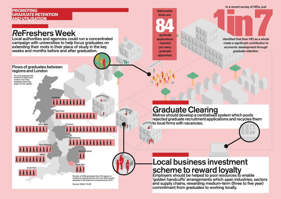

**1in7** identified that their HEI as a whole made a significant contribution to economic development through graduate retention. .............



**CV** 

### **PROMOTING GRADUATE RETENTION AND UTILISATION**

### Local business investment scheme to reward loyalty Employers should be helped to pool resources to enable 'golden handcuffs' arrangements which span industries, sectors and supply chains, rewarding medium-term (three to five year) commitment from graduates to working locally.

# Graduate Clearing

Metros should develop a centralised system which pools rejected graduate recruitment applications and recycles them to local firms with vacancies.

**Nationwide** there are

**844**<br>**eraduate**  graduate applications rejected per every graduate appointed.

### Flows of graduates between regions and London

# *Re*Freshers Week

Local authorities and agencies could run a concentrated campaign with universities to help focus graduates on extending their roots in their place of study in the key weeks and months before and after graduation.

> Number of 2009 graduates from UK regions to London for employment by 2012, per 2009 London graduate to UK regions for employment by 2012.

Source: HESA / DLHE

For every graduate that moves to a region from London, how many graduates leave that region for the capital?

South East

East of England

**AAAAAAAAAAAA** 

East Midlands

Yorkshire

**RRAAAAAAA** 

AAAAAAAAA

North East

**Scotland** 

North West

West Midlands

Wales

South West

**AAAAAAAA** 

A A A A A

**AAAAAAA** 

*AAAAAAAA*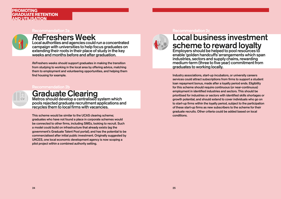Recommendation 2a



### *Re*Freshers Week

Local authorities and agencies could run a concentrated campaign with universities to help focus graduates on extending their roots in their place of study in the key weeks and months before and after graduation.

*Re*Freshers weeks should support graduates in making the transition from studying to working in the local area by offering advice, matching them to employment and volunteering opportunities, and helping them find housing for example.

#### Recommendation 2b

Graduate Clearing Metros should develop a centralised system which

# Local business investment scheme to reward loyalty

pools rejected graduate recruitment applications and recycles them to local firms with vacancies.

Employers should be helped to pool resources to enable 'golden handcuffs' arrangements which span industries, sectors and supply chains, rewarding medium-term (three to five year) commitment from graduates to working locally.

This scheme would be similar to the UCAS clearing scheme; graduates who have not found a place in corporate schemes would be connected to other firms, including SMEs, looking to recruit. Such a model could build on infrastructure that already exists (eg the government's Graduate Talent Pool portal), and has the potential to be commercialised after initial public investment. Originally suggested by UKCES, one local economic development agency is now scoping a pilot project within a combined authority setting.



#### Recommendation 2c



Industry associations, start-up incubators, or university careers services could attract subscriptions from firms to support a student loan repayment bonus, made after a loyalty period ends. Eligibility for this scheme should require continuous (or near-continuous) employment in identified industries and sectors. This should be prioritised for industries or sectors with identified skills shortages or growth potential, and should extend to cover individuals who go on to start-up firms within the loyalty period, subject to the participation of these start-up firms as new subscribers to the scheme for their graduate recruits. Other criteria could be added based on local conditions.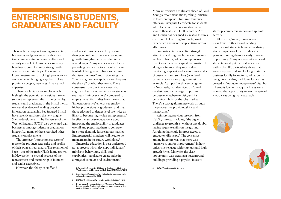There is broad support among universities, businesses and government authorities to encourage entrepreneurial culture and activity in the UK. Universities are a key breeding ground for innovative growth companies and start-ups. Those in the largest metros are part of high productivity environments, bringing together in close proximity people, resources, finance and expertise.

students at universities to fully realise their potential contribution to economic growth through enterprise is limited in several ways. Many interviewees refer to prevailing cultural factors: faculty "being fearful of being seen to back something that isn't a winner" and articulating that "discussing business applications cheapens the theory" of what they teach. There is consensus from our interviewees that a stigma still surrounds enterprise – students see it as a "minority sport" compared to employment. Yet studies have shown that 'innovation-active' enterprises employ higher proportions of graduates<sup>1</sup> and that those educated to degree-level are twice as likely to become high-value entrepreneurs.<sup>2</sup> In effect, enterprise education is about improving the employability of graduates overall and preparing them to compete in a more dynamic future labour market. Entrepreneurial mindsets will need to be mainstream in the future workplace.<sup>3</sup>

There are fantastic examples which highlight the potential universities have to support entrepreneurialism among faculty, students and graduates. In the Bristol metro, we found evidence of leading practice: innovation partnership Set Squared Bristol have recently anchored the new Engine Shed redevelopment. The University of the West of England (UWE) also generated 241 businesses among students at graduation in 2013/14; many of these recruited other students on placements.

The strongest 'innovation ecosystems' recycle the products (expertise and profits) of their own entrepreneurs. The retention of Sage – one of the major PLCs home-grown in Newcastle – is crucial because of the reinvestment and mentorship of founders and senior executives.

However, the ability of staff and

Enterprise education is best understood as "a process which develops individuals" mindsets, behaviours, skills and capabilities…applied to create value in a range of contexts and environments'.4

- 2 [Social Market Foundation, 'Venturing Forth: Increasing high](http://www.smf.co.uk/publications/venturing-forth-increasing-high-value-entrepreneurship/)[value entrepreneurship', 2014](http://www.smf.co.uk/publications/venturing-forth-increasing-high-value-entrepreneurship/)
- 3 [UKCES, 'The Future of Work, Jobs and Skills in 2030', 2014](https://www.gov.uk/government/publications/jobs-and-skills-in-2030)
- 26 27 [centre of higher education', 2008](http://ncee.org.uk/wp-content/uploads/2014/06/developing_entrepreneurial_graduates.1.pdf) 4 [K Herrmann, P Hannon, J Cox and P Ternouth, 'Developing](http://ncee.org.uk/wp-content/uploads/2014/06/developing_entrepreneurial_graduates.1.pdf)  [Entrepreneurial Graduates: Putting entrepreneurship at the](http://ncee.org.uk/wp-content/uploads/2014/06/developing_entrepreneurial_graduates.1.pdf)

Many universities are already ahead of Lord Young's recommendations, taking initiative to foster enterprise. Durham University offers an Enterprise Certificate for students who elect enterprise as a module in each year of their studies. Hull School of Art and Design has designed a Creative Futures core module featuring live briefs, work experience and mentorship, cutting across all courses.

Graduate enterprises often struggle to attract capital to grow, but in our research we heard from graduate entrepreneurs that it was the social capital that mattered alongside finance: they most valued mentoring, support and access to networks of customers and suppliers (as offered by many accelerator programmes). For example, CampusNorth, run by Ignite in Newcastle, was described as "a real catalyst: sends a message. Important because somewhere to visit, and it's becoming a hub for the jobs market. There's a strong alumni network through the programme providing skills and mentorship."

Reinforcing previous research from  $BVCA$ <sup>5</sup> investors told us, "the biggest challenge to growth is, without any doubt, having requisite skills on the ground. Anything that could improve access to graduate skills helps." The consensus among investors was that there was "massive room for improvement" in how universities engage with start-ups and high growth firms. Many felt the clear opportunity was creating a buzz around buildings: providing a physical focus to

5 [BVCA, 'Tech Country 2013,' 2013](http://www.bvca.co.uk/researchpublications/researchreports/techcountry.aspx)

start-up, commercialisation and spin-off activity.

Ultimately, 'money flows where ideas flow'. In this regard, sending international students home immediately after completion of their studies after years of training them is clearly a wasted opportunity. Many of these international students could put their talents to use within the UK, particularly those that are entrepreneurial and looking to start a business locally following graduation. In recognition of this, the Home Office has created a 'Graduate Entrepreneur' visa, but take-up is low: only 174 graduates were granted the opportunity in 2013 in spite of 1,000 visas being made available.





# **ENTERPRISING STUDENTS, GRADUATES AND FACULTY**

<sup>1</sup> D Bosworth, C Lyonette, R Wilson, M Bayliss and S Fathers, 'The Supply of and Demand for High-Level STEM Skills,' 2013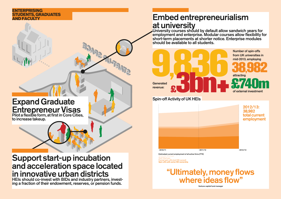### Spin-off Activity of UK HEIs

### **ENTERPRISING STUDENTS, GRADUATES**

# **Embed entrepreneurialism** at university

University courses should by default allow sandwich years for employment and enterprise. Modular courses allow flexibility for short-term placements at shorter notice. Enterprise modules should be available to all students.

### Support start-up incubation and acceleration space located in innovative urban districts

# **1.1.1.2.2.1.3. Expressed Generated Generated** revenue: **£3bn+**

HEIs should co-invest with BIDs and industry partners, investing a fraction of their endowment, reserves, or pension funds.

"Ultimately, money flows where ideas flow" Venture capital fund manag

## Expand Graduate Entrepreneur Visas

Pilot a flexible form, at first in Core Cities, to increase takeup.



Estimated current employment of all active firms (FTE) Staff Startups Formal spin-offs (not HEI owned) Spin-offs with some HEI ownership



### 2012/13: 38,982 total current employment

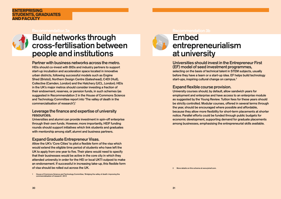Recommendation 3a



## Build networks through cross-fertilisation between people and institutions

Partner with business networks across the metro. HEIs should co-invest with BIDs and industry partners to support start-up incubation and acceleration space located in innovative urban districts, following successful models such as Engine Shed (Bristol), Northern Design Centre (Gateshead), C4DI (Hull), Collective (Camden, London) and the Hatchery (UCL, London). HEIs in the UK's major metros should consider investing a fraction of their endowment, reserves, or pension funds, in such schemes (as suggested in Recommendation 2 in the House of Commons Science and Technology Committee report into 'The valley of death in the commercialisation of research').1

### Leverage the finance and expertise of university resources.

#### Universities should invest in the Entrepreneur First (EF) model of seed investment programmes, selecting on the basis of technical talent in STEM subjects, usually before they have a team or a start-up idea. EF helps build technology start-ups, inspiring cultural change on campus.<sup>2</sup>

Universities and alumni can provide investment in spin-off enterprise through their own funds. However, more importantly, HEIF funding rounds should support initiatives which link students and graduates with mentorship among staff, alumni and business partners.

### Expand Graduate Entrepreneur Visas.

Allow the UK's 'Core Cities' to pilot a flexible form of the visa which would extend the eligible time period of students who have left the UK to apply from one year to five. Their plans would need to specify that their businesses would be active in the core city in which they attended university in order for the HEI or local UKTI outpost to make an endorsement. If successful in increasing take-up, this flexible form of visa should be rolled out across the UK.



### Expand flexible course provision.

University courses should, by default, allow sandwich years for employment and enterprise and have access to an enterprise module as suggested by the Young Review. Tuition fees for these years should be strictly controlled. Modular courses, offered in several terms through the year, should be encouraged where possible and affordable, because they allow more flexibility for short-term placements at shorter notice. Parallel efforts could be funded through public budgets for economic development, supporting demand for graduate placements among businesses, emphasising the entrepreneurial skills available.

2 More details on this scheme at [www.joinef.com.](http://www.joinef.com/)

#### **ENTERPRISING STUDENTS, GRADUATES AND FACULTY**

<sup>1</sup> [House of Commons Science and Technology Committee, 'Bridging the valley of death: improving the](http://www.publications.parliament.uk/pa/cm201213/cmselect/cmsctech/348/348.pdf)  [commercialisation of research', 2013](http://www.publications.parliament.uk/pa/cm201213/cmselect/cmsctech/348/348.pdf)